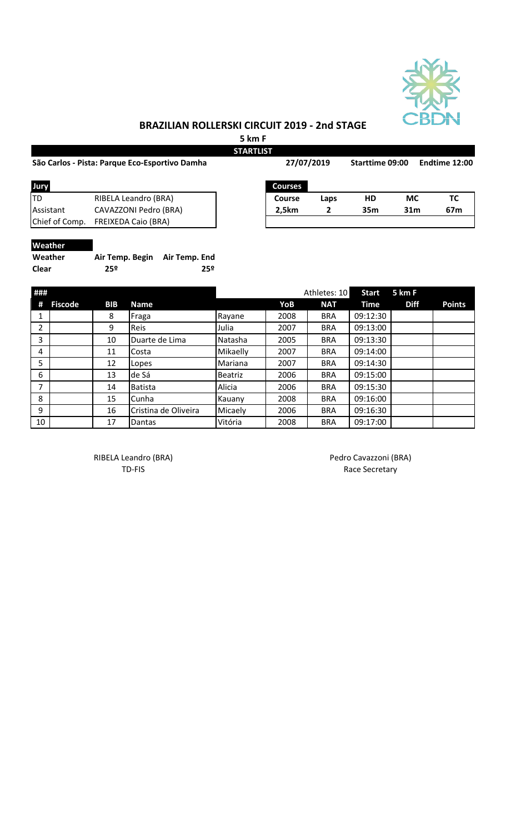

## **BRAZILIAN ROLLERSKI CIRCUIT 2019 - 2nd STAGE**

**5 km F**

|                |                                                |               | <b>STARTLIST</b>      |            |              |                 |                 |               |  |
|----------------|------------------------------------------------|---------------|-----------------------|------------|--------------|-----------------|-----------------|---------------|--|
|                | São Carlos - Pista: Parque Eco-Esportivo Damha |               |                       | 27/07/2019 |              | Starttime 09:00 |                 | Endtime 12:00 |  |
| Jury           |                                                |               | <b>Courses</b>        |            |              |                 |                 |               |  |
| lTD            | RIBELA Leandro (BRA)                           |               | Course                |            | Laps         | HD              | <b>MC</b>       | TC            |  |
| Assistant      | CAVAZZONI Pedro (BRA)                          |               | 2,5km                 |            | 2            | 35 <sub>m</sub> | 31 <sub>m</sub> | 67m           |  |
| Chief of Comp. | <b>FREIXEDA Caio (BRA)</b>                     |               |                       |            |              |                 |                 |               |  |
| Weather        |                                                |               |                       |            |              |                 |                 |               |  |
| Weather        | Air Temp. Begin                                | Air Temp. End |                       |            |              |                 |                 |               |  |
| <b>Clear</b>   | 25 <sup>°</sup>                                | 25º           |                       |            |              |                 |                 |               |  |
| ###            |                                                |               |                       |            | Athletes: 10 | <b>Start</b>    | 5 km F          |               |  |
| Fiscode<br>#   | RIR<br>Name                                    |               | <b>V<sub>O</sub>R</b> |            | <b>NAT</b>   | Time            | <b>Diff</b>     | <b>Doints</b> |  |

| #  | <b>Fiscode</b> | <b>BIB</b> | <b>Name</b>          |                | YoB  | <b>NAT</b> | Time     | <b>Diff</b> | <b>Points</b> |
|----|----------------|------------|----------------------|----------------|------|------------|----------|-------------|---------------|
|    |                | 8          | Fraga                | Rayane         | 2008 | <b>BRA</b> | 09:12:30 |             |               |
| ำ  |                | 9          | <b>Reis</b>          | Julia          | 2007 | <b>BRA</b> | 09:13:00 |             |               |
| 3  |                | 10         | Duarte de Lima       | Natasha        | 2005 | <b>BRA</b> | 09:13:30 |             |               |
| 4  |                | 11         | Costa                | Mikaelly       | 2007 | <b>BRA</b> | 09:14:00 |             |               |
| 5  |                | 12         | Lopes                | Mariana        | 2007 | <b>BRA</b> | 09:14:30 |             |               |
| 6  |                | 13         | de Sá                | <b>Beatriz</b> | 2006 | <b>BRA</b> | 09:15:00 |             |               |
| 7  |                | 14         | <b>Batista</b>       | Alicia         | 2006 | <b>BRA</b> | 09:15:30 |             |               |
| 8  |                | 15         | Cunha                | Kauany         | 2008 | <b>BRA</b> | 09:16:00 |             |               |
| 9  |                | 16         | Cristina de Oliveira | Micaely        | 2006 | <b>BRA</b> | 09:16:30 |             |               |
| 10 |                | 17         | Dantas               | Vitória        | 2008 | <b>BRA</b> | 09:17:00 |             |               |

RIBELA Leandro (BRA) and a control of the Pedro Cavazzoni (BRA)

TD-FIS Race Secretary